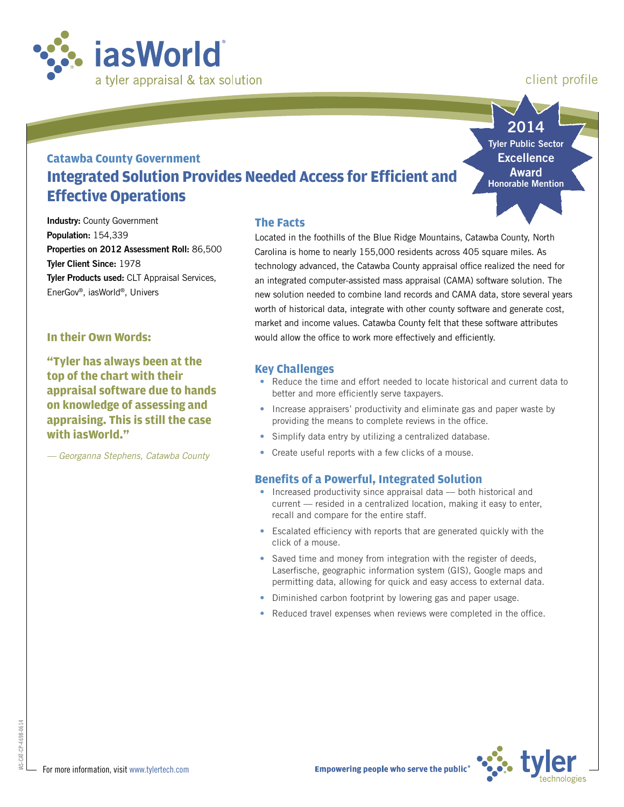

# client profile

**2014**

# **Catawba County Government Integrated Solution Provides Needed Access for Efficient and Effective Operations**

**Tyler Public Sector Excellence Award Honorable Mention**

**Industry: County Government Population:** 154,339 **Properties on 2012 Assessment Roll:** 86,500 **Tyler Client Since:** 1978 **Tyler Products used:** CLT Appraisal Services, EnerGov®, iasWorld®, Univers

#### **In their Own Words:**

**"Tyler has always been at the top of the chart with their appraisal software due to hands on knowledge of assessing and appraising. This is still the case with iasWorld."** 

*— Georganna Stephens, Catawba County*

#### **The Facts**

Located in the foothills of the Blue Ridge Mountains, Catawba County, North Carolina is home to nearly 155,000 residents across 405 square miles. As technology advanced, the Catawba County appraisal office realized the need for an integrated computer-assisted mass appraisal (CAMA) software solution. The new solution needed to combine land records and CAMA data, store several years worth of historical data, integrate with other county software and generate cost, market and income values. Catawba County felt that these software attributes would allow the office to work more effectively and efficiently.

## **Key Challenges**

- Reduce the time and effort needed to locate historical and current data to better and more efficiently serve taxpayers.
- Increase appraisers' productivity and eliminate gas and paper waste by providing the means to complete reviews in the office.
- Simplify data entry by utilizing a centralized database.
- Create useful reports with a few clicks of a mouse.

# **Benefits of a Powerful, Integrated Solution**

- Increased productivity since appraisal data both historical and current — resided in a centralized location, making it easy to enter, recall and compare for the entire staff.
- Escalated efficiency with reports that are generated quickly with the click of a mouse.
- Saved time and money from integration with the register of deeds, Laserfische, geographic information system (GIS), Google maps and permitting data, allowing for quick and easy access to external data.
- Diminished carbon footprint by lowering gas and paper usage.
- Reduced travel expenses when reviews were completed in the office.